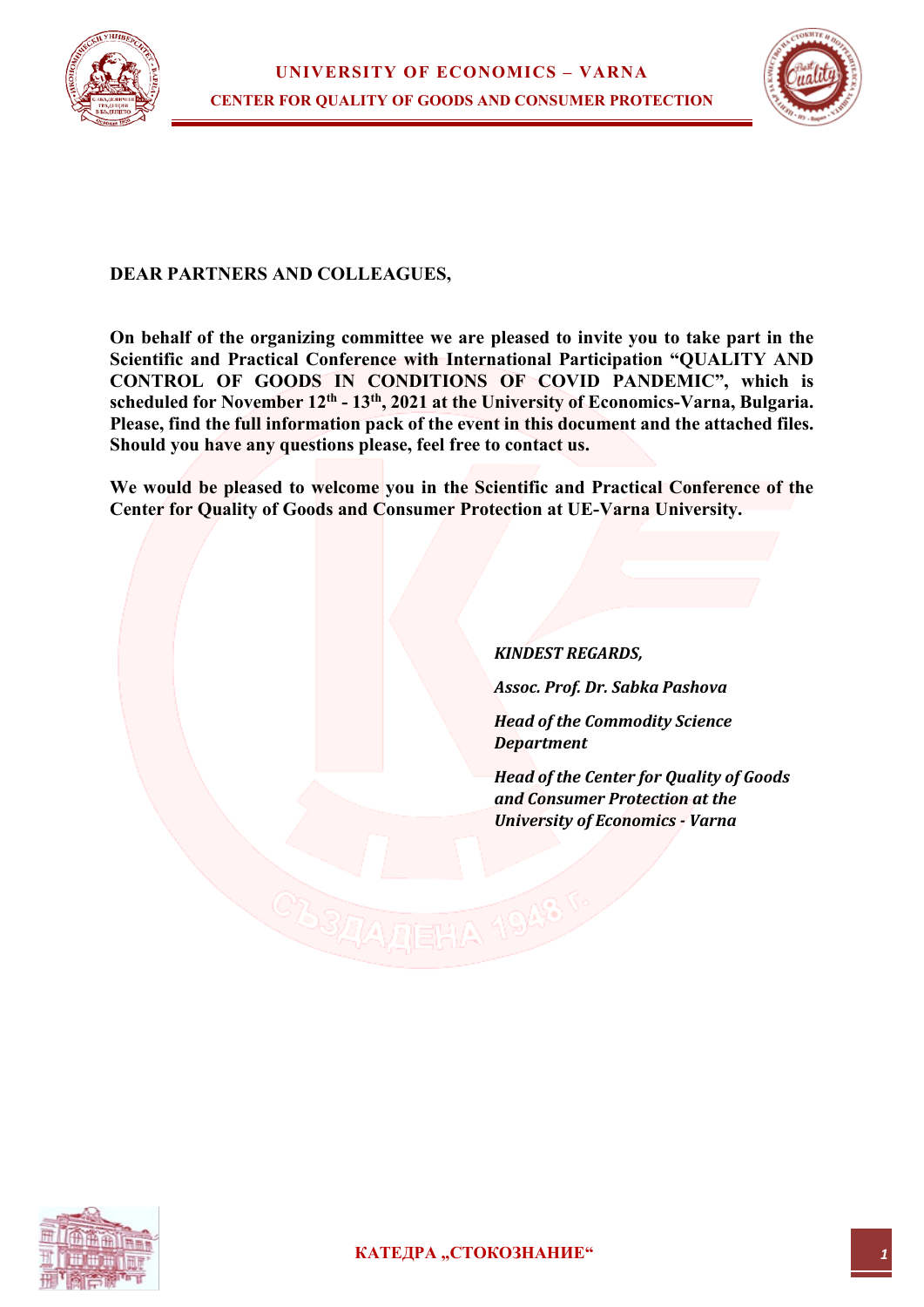



## **DEAR PARTNERS AND COLLEAGUES,**

**On behalf of the organizing committee we are pleased to invite you to take part in the Scientific and Practical Conference with International Participation "QUALITY AND CONTROL OF GOODS IN CONDITIONS OF COVID PANDEMIC", which is scheduled for November 12th - 13th, 2021 at the University of Economics-Varna, Bulgaria. Please, find the full information pack of the event in this document and the attached files. Should you have any questions please, feel free to contact us.**

**We would be pleased to welcome you in the Scientific and Practical Conference of the Center for Quality of Goods and Consumer Protection at UE-Varna University.**

*KINDEST REGARDS,*

*Assoc. Prof. Dr. Sabka Pashova*

*Head of the Commodity Science Department*

*Head of the Center for Quality of Goods and Consumer Protection at the University of Economics - Varna*

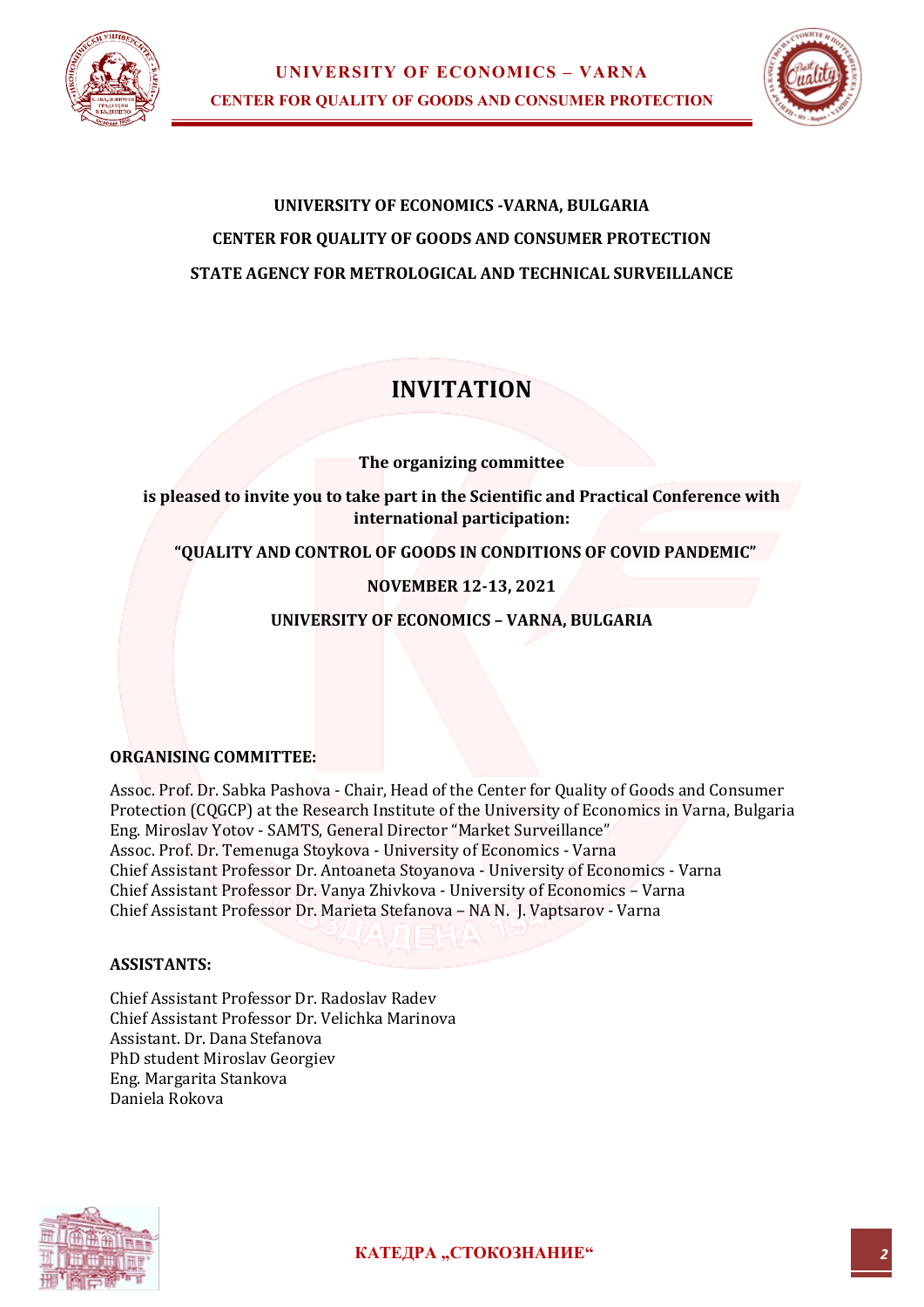



# **UNIVERSITY OF ECONOMICS -VARNA, BULGARIA CENTER FOR QUALITY OF GOODS AND CONSUMER PROTECTION STATE AGENCY FOR METROLOGICAL AND TECHNICAL SURVEILLANCE**

# **INVITATION**

**The organizing committee**

## **is pleased to invite you to take part in the Scientific and Practical Conference with international participation:**

 **"QUALITY AND CONTROL OF GOODS IN CONDITIONS OF COVID PANDEMIC"**

**NOVEMBER 12-13, 2021**

## **UNIVERSITY OF ECONOMICS – VARNA, BULGARIA**

## **ORGANISING COMMITTEE:**

Assoc. Prof. Dr. Sabka Pashova - Chair, Head of the Center for Quality of Goods and Consumer Protection (CQGCP) at the Research Institute of the University of Economics in Varna, Bulgaria Eng. Miroslav Yotov - SAMTS, General Director "Market Surveillance" Assoc. Prof. Dr. Temenuga Stoykova - University of Economics - Varna Chief Assistant Professor Dr. Antoaneta Stoyanova - University of Economics - Varna Chief Assistant Professor Dr. Vanya Zhivkova - University of Economics – Varna Chief Assistant Professor Dr. Marieta Stefanova – NA N. J. Vaptsarov - Varna

## **ASSISTANTS:**

Chief Assistant Professor Dr. Radoslav Radev Chief Assistant Professor Dr. Velichka Marinova Assistant. Dr. Dana Stefanova PhD student Miroslav Georgiev Eng. Margarita Stankova Daniela Rokova

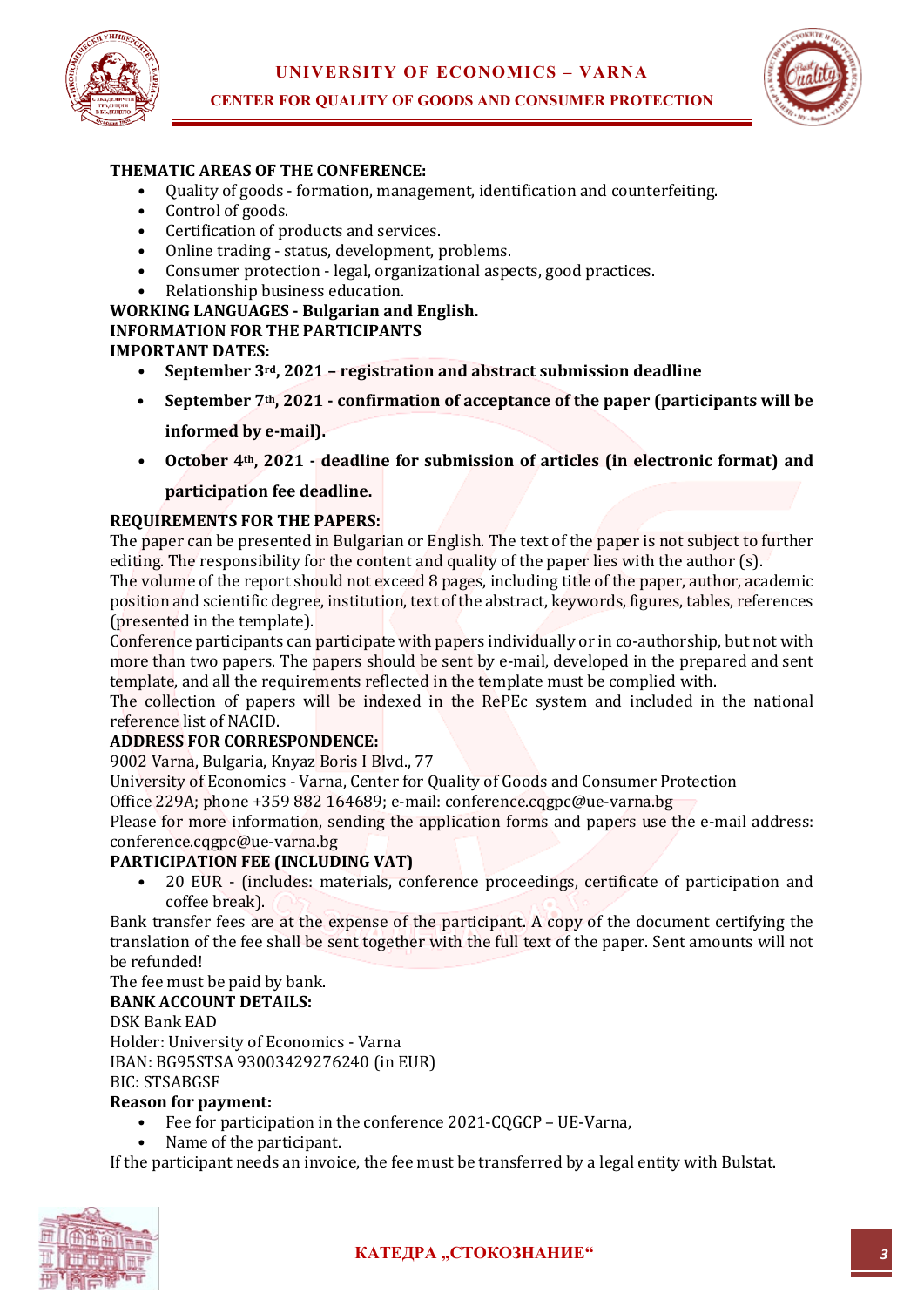



#### **THEMATIC AREAS OF THE CONFERENCE:**

- Quality of goods formation, management, identification and counterfeiting.
- Control of goods.
- Certification of products and services.
- Online trading status, development, problems.
- Consumer protection legal, organizational aspects, good practices.
- Relationship business education.

#### **WORKING LANGUAGES - Bulgarian and English. INFORMATION FOR THE PARTICIPANTS IMPORTANT DATES:**

- **September 3rd, 2021 – registration and abstract submission deadline**
- **September 7th, 2021 - confirmation of acceptance of the paper (participants will be informed by e-mail).**
- **October 4th, 2021 - deadline for submission of articles (in electronic format) and participation fee deadline.**

#### **REQUIREMENTS FOR THE PAPERS:**

The paper can be presented in Bulgarian or English. The text of the paper is not subject to further editing. The responsibility for the content and quality of the paper lies with the author (s).

The volume of the report should not exceed 8 pages, including title of the paper, author, academic position and scientific degree, institution, text of the abstract, keywords, figures, tables, references (presented in the template).

Conference participants can participate with papers individually or in co-authorship, but not with more than two papers. The papers should be sent by e-mail, developed in the prepared and sent template, and all the requirements reflected in the template must be complied with.

The collection of papers will be indexed in the RePEc system and included in the national reference list of NACID.

#### **ADDRESS FOR CORRESPONDENCE:**

9002 Varna, Bulgaria, Knyaz Boris I Blvd., 77

University of Economics - Varna, Center for Quality of Goods and Consumer Protection

Office 229A; phone +359 882 164689; e-mail: conference.cqgpc@ue-varna.bg

Please for more information, sending the application forms and papers use the e-mail address: conference.cqgpc@ue-varna.bg

#### **PARTICIPATION FEE (INCLUDING VAT)**

• 20 EUR - (includes: materials, conference proceedings, certificate of participation and coffee break).

Bank transfer fees are at the expense of the participant. A copy of the document certifying the translation of the fee shall be sent together with the full text of the paper. Sent amounts will not be refunded!

#### The fee must be paid by bank.

#### **BANK ACCOUNT DETAILS:**

DSK Bank EAD

Holder: University of Economics - Varna IBAN: BG95STSA 93003429276240 (in EUR) BIC: STSABGSF

#### **Reason for payment:**

- Fee for participation in the conference 2021-CQGCP UE-Varna,
- Name of the participant.

If the participant needs an invoice, the fee must be transferred by a legal entity with Bulstat.